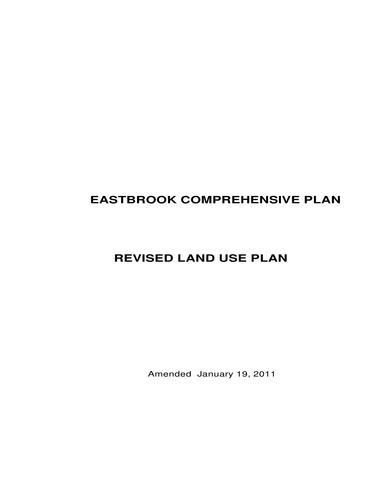# **EASTBROOK COMPREHENSIVE PLAN**

# **REVISED LAND USE PLAN**

Amended January 19, 2011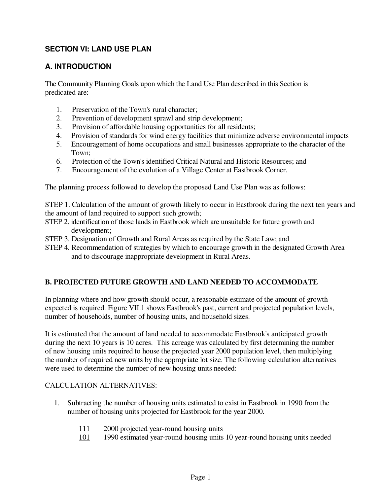# **SECTION VI: LAND USE PLAN**

## **A. INTRODUCTION**

The Community Planning Goals upon which the Land Use Plan described in this Section is predicated are:

- 1. Preservation of the Town's rural character;
- 2. Prevention of development sprawl and strip development;
- 3. Provision of affordable housing opportunities for all residents;
- 4. Provision of standards for wind energy facilities that minimize adverse environmental impacts
- 5. Encouragement of home occupations and small businesses appropriate to the character of the Town;
- 6. Protection of the Town's identified Critical Natural and Historic Resources; and
- 7. Encouragement of the evolution of a Village Center at Eastbrook Corner.

The planning process followed to develop the proposed Land Use Plan was as follows:

STEP 1. Calculation of the amount of growth likely to occur in Eastbrook during the next ten years and the amount of land required to support such growth;

- STEP 2. identification of those lands in Eastbrook which are unsuitable for future growth and development;
- STEP 3. Designation of Growth and Rural Areas as required by the State Law; and
- STEP 4. Recommendation of strategies by which to encourage growth in the designated Growth Area and to discourage inappropriate development in Rural Areas.

## **B. PROJECTED FUTURE GROWTH AND LAND NEEDED TO ACCOMMODATE**

In planning where and how growth should occur, a reasonable estimate of the amount of growth expected is required. Figure VII.1 shows Eastbrook's past, current and projected population levels, number of households, number of housing units, and household sizes.

It is estimated that the amount of land needed to accommodate Eastbrook's anticipated growth during the next 10 years is 10 acres. This acreage was calculated by first determining the number of new housing units required to house the projected year 2000 population level, then multiplying the number of required new units by the appropriate lot size. The following calculation alternatives were used to determine the number of new housing units needed:

## CALCULATION ALTERNATIVES:

- 1. Subtracting the number of housing units estimated to exist in Eastbrook in 1990 from the number of housing units projected for Eastbrook for the year 2000.
	- 111 2000 projected year-round housing units
	- 101 1990 estimated year-round housing units 10 year-round housing units needed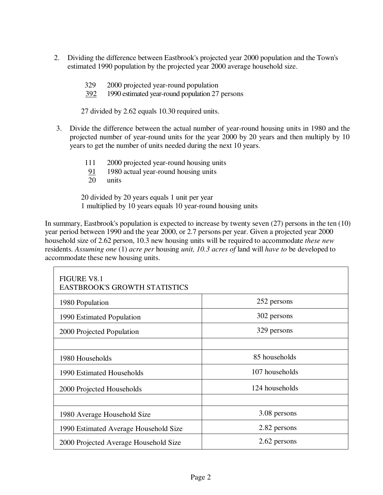- 2. Dividing the difference between Eastbrook's projected year 2000 population and the Town's estimated 1990 population by the projected year 2000 average household size.
	- 329 2000 projected year-round population
	- 392 1990 estimated year-round population 27 persons

27 divided by 2.62 equals 10.30 required units.

- 3. Divide the difference between the actual number of year-round housing units in 1980 and the projected number of year-round units for the year 2000 by 20 years and then multiply by 10 years to get the number of units needed during the next 10 years.
	- 111 2000 projected year-round housing units
	- $\frac{91}{20}$  1980 actual year-round housing units
	- units

20 divided by 20 years equals 1 unit per year 1 multiplied by 10 years equals 10 year-round housing units

In summary, Eastbrook's population is expected to increase by twenty seven  $(27)$  persons in the ten  $(10)$ year period between 1990 and the year 2000, or 2.7 persons per year. Given a projected year 2000 household size of 2.62 person, 10.3 new housing units will be required to accommodate *these new*  residents. *Assuming one* (1) *acre per* housing *unit, 10.3 acres of* land will *have to* be developed to accommodate these new housing units.

| <b>FIGURE V8.1</b><br><b>EASTBROOK'S GROWTH STATISTICS</b> |                |
|------------------------------------------------------------|----------------|
| 1980 Population                                            | 252 persons    |
| 1990 Estimated Population                                  | 302 persons    |
| 2000 Projected Population                                  | 329 persons    |
|                                                            |                |
| 1980 Households                                            | 85 households  |
| 1990 Estimated Households                                  | 107 households |
| 2000 Projected Households                                  | 124 households |
|                                                            |                |
| 1980 Average Household Size                                | 3.08 persons   |
| 1990 Estimated Average Household Size                      | 2.82 persons   |
| 2000 Projected Average Household Size                      | 2.62 persons   |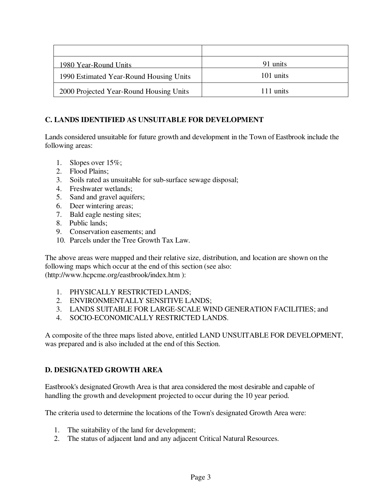| 1980 Year-Round Units                   | 91 units  |
|-----------------------------------------|-----------|
| 1990 Estimated Year-Round Housing Units | 101 units |
| 2000 Projected Year-Round Housing Units | 111 units |

## **C. LANDS IDENTIFIED AS UNSUITABLE FOR DEVELOPMENT**

Lands considered unsuitable for future growth and development in the Town of Eastbrook include the following areas:

- 1. Slopes over 15%;
- 2. Flood Plains;
- 3. Soils rated as unsuitable for sub-surface sewage disposal;
- 4. Freshwater wetlands;
- 5. Sand and gravel aquifers;
- 6. Deer wintering areas;
- 7. Bald eagle nesting sites;
- 8. Public lands;
- 9. Conservation easements; and
- 10. Parcels under the Tree Growth Tax Law.

The above areas were mapped and their relative size, distribution, and location are shown on the following maps which occur at the end of this section (see also: (http://www.hcpcme.org/eastbrook/index.htm ):

- 1. PHYSICALLY RESTRICTED LANDS;
- 2. ENVIRONMENTALLY SENSITIVE LANDS;
- 3. LANDS SUITABLE FOR LARGE-SCALE WIND GENERATION FACILITIES; and
- 4. SOCIO-ECONOMICALLY RESTRICTED LANDS.

A composite of the three maps listed above, entitled LAND UNSUITABLE FOR DEVELOPMENT, was prepared and is also included at the end of this Section.

## **D. DESIGNATED GROWTH AREA**

Eastbrook's designated Growth Area is that area considered the most desirable and capable of handling the growth and development projected to occur during the 10 year period.

The criteria used to determine the locations of the Town's designated Growth Area were:

- 1. The suitability of the land for development;
- 2. The status of adjacent land and any adjacent Critical Natural Resources.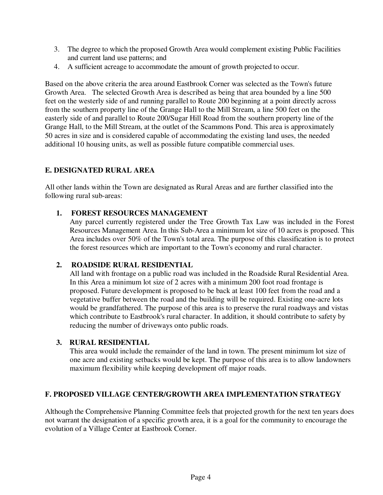- 3. The degree to which the proposed Growth Area would complement existing Public Facilities and current land use patterns; and
- 4. A sufficient acreage to accommodate the amount of growth projected to occur.

Based on the above criteria the area around Eastbrook Corner was selected as the Town's future Growth Area. The selected Growth Area is described as being that area bounded by a line 500 feet on the westerly side of and running parallel to Route 200 beginning at a point directly across from the southern property line of the Grange Hall to the Mill Stream, a line 500 feet on the easterly side of and parallel to Route 200/Sugar Hill Road from the southern property line of the Grange Hall, to the Mill Stream, at the outlet of the Scammons Pond. This area is approximately 50 acres in size and is considered capable of accommodating the existing land uses, the needed additional 10 housing units, as well as possible future compatible commercial uses.

## **E. DESIGNATED RURAL AREA**

All other lands within the Town are designated as Rural Areas and are further classified into the following rural sub-areas:

## **1. FOREST RESOURCES MANAGEMENT**

Any parcel currently registered under the Tree Growth Tax Law was included in the Forest Resources Management Area. In this Sub-Area a minimum lot size of 10 acres is proposed. This Area includes over 50% of the Town's total area. The purpose of this classification is to protect the forest resources which are important to the Town's economy and rural character.

## **2. ROADSIDE RURAL RESIDENTIAL**

All land with frontage on a public road was included in the Roadside Rural Residential Area. In this Area a minimum lot size of 2 acres with a minimum 200 foot road frontage is proposed. Future development is proposed to be back at least 100 feet from the road and a vegetative buffer between the road and the building will be required. Existing one-acre lots would be grandfathered. The purpose of this area is to preserve the rural roadways and vistas which contribute to Eastbrook's rural character. In addition, it should contribute to safety by reducing the number of driveways onto public roads.

#### **3. RURAL RESIDENTIAL**

This area would include the remainder of the land in town. The present minimum lot size of one acre and existing setbacks would be kept. The purpose of this area is to allow landowners maximum flexibility while keeping development off major roads.

#### **F. PROPOSED VILLAGE CENTER/GROWTH AREA IMPLEMENTATION STRATEGY**

Although the Comprehensive Planning Committee feels that projected growth for the next ten years does not warrant the designation of a specific growth area, it is a goal for the community to encourage the evolution of a Village Center at Eastbrook Corner.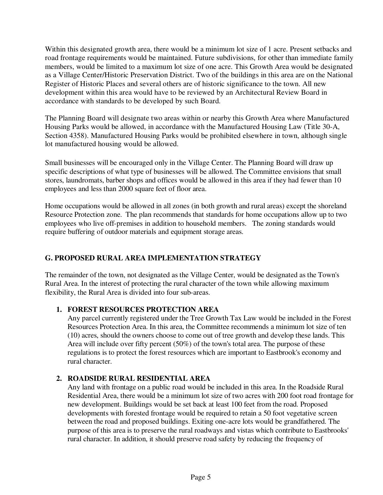Within this designated growth area, there would be a minimum lot size of 1 acre. Present setbacks and road frontage requirements would be maintained. Future subdivisions, for other than immediate family members, would be limited to a maximum lot size of one acre. This Growth Area would be designated as a Village Center/Historic Preservation District. Two of the buildings in this area are on the National Register of Historic Places and several others are of historic significance to the town. All new development within this area would have to be reviewed by an Architectural Review Board in accordance with standards to be developed by such Board.

The Planning Board will designate two areas within or nearby this Growth Area where Manufactured Housing Parks would be allowed, in accordance with the Manufactured Housing Law (Title 30-A, Section 4358). Manufactured Housing Parks would be prohibited elsewhere in town, although single lot manufactured housing would be allowed.

Small businesses will be encouraged only in the Village Center. The Planning Board will draw up specific descriptions of what type of businesses will be allowed. The Committee envisions that small stores, laundromats, barber shops and offices would be allowed in this area if they had fewer than 10 employees and less than 2000 square feet of floor area.

Home occupations would be allowed in all zones (in both growth and rural areas) except the shoreland Resource Protection zone. The plan recommends that standards for home occupations allow up to two employees who live off-premises in addition to household members. The zoning standards would require buffering of outdoor materials and equipment storage areas.

## **G. PROPOSED RURAL AREA IMPLEMENTATION STRATEGY**

The remainder of the town, not designated as the Village Center, would be designated as the Town's Rural Area. In the interest of protecting the rural character of the town while allowing maximum flexibility, the Rural Area is divided into four sub-areas.

## **1. FOREST RESOURCES PROTECTION AREA**

Any parcel currently registered under the Tree Growth Tax Law would be included in the Forest Resources Protection Area. In this area, the Committee recommends a minimum lot size of ten (10) acres, should the owners choose to come out of tree growth and develop these lands. This Area will include over fifty percent (50%) of the town's total area. The purpose of these regulations is to protect the forest resources which are important to Eastbrook's economy and rural character.

## **2. ROADSIDE RURAL RESIDENTIAL AREA**

Any land with frontage on a public road would be included in this area. In the Roadside Rural Residential Area, there would be a minimum lot size of two acres with 200 foot road frontage for new development. Buildings would be set back at least 100 feet from the road. Proposed developments with forested frontage would be required to retain a 50 foot vegetative screen between the road and proposed buildings. Exiting one-acre lots would be grandfathered. The purpose of this area is to preserve the rural roadways and vistas which contribute to Eastbrooks' rural character. In addition, it should preserve road safety by reducing the frequency of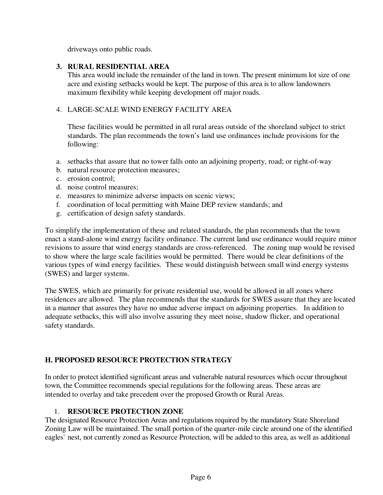driveways onto public roads.

#### **3. RURAL RESIDENTIAL AREA**

This area would include the remainder of the land in town. The present minimum lot size of one acre and existing setbacks would be kept. The purpose of this area is to allow landowners maximum flexibility while keeping development off major roads.

## 4. LARGE-SCALE WIND ENERGY FACILITY AREA

These facilities would be permitted in all rural areas outside of the shoreland subject to strict standards. The plan recommends the town's land use ordinances include provisions for the following:

- a. setbacks that assure that no tower falls onto an adjoining property, road; or right-of-way
- b. natural resource protection measures;
- c. erosion control;
- d. noise control measures;
- e. measures to minimize adverse impacts on scenic views;
- f. coordination of local permitting with Maine DEP review standards; and
- g. certification of design safety standards.

To simplify the implementation of these and related standards, the plan recommends that the town enact a stand-alone wind energy facility ordinance. The current land use ordinance would require minor revisions to assure that wind energy standards are cross-referenced. The zoning map would be revised to show where the large scale facilities would be permitted. There would be clear definitions of the various types of wind energy facilities. These would distinguish between small wind energy systems (SWES) and larger systems.

The SWES, which are primarily for private residential use, would be allowed in all zones where residences are allowed. The plan recommends that the standards for SWES assure that they are located in a manner that assures they have no undue adverse impact on adjoining properties. In addition to adequate setbacks, this will also involve assuring they meet noise, shadow flicker, and operational safety standards.

## **H. PROPOSED RESOURCE PROTECTION STRATEGY**

In order to protect identified significant areas and vulnerable natural resources which occur throughout town, the Committee recommends special regulations for the following areas. These areas are intended to overlay and take precedent over the proposed Growth or Rural Areas.

#### 1. **RESOURCE PROTECTION ZONE**

The designated Resource Protection Areas and regulations required by the mandatory State Shoreland Zoning Law will be maintained. The small portion of the quarter-mile circle around one of the identified eagles` nest, not currently zoned as Resource Protection, will be added to this area, as well as additional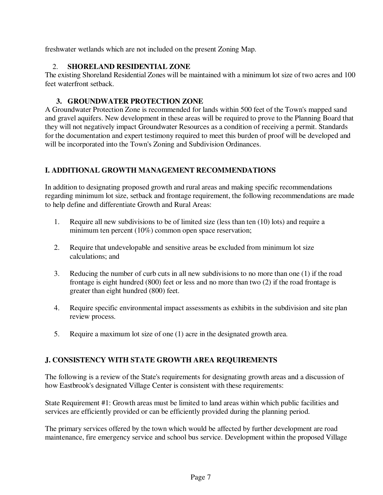freshwater wetlands which are not included on the present Zoning Map.

## 2. **SHORELAND RESIDENTIAL ZONE**

The existing Shoreland Residential Zones will be maintained with a minimum lot size of two acres and 100 feet waterfront setback.

## **3. GROUNDWATER PROTECTION ZONE**

A Groundwater Protection Zone is recommended for lands within 500 feet of the Town's mapped sand and gravel aquifers. New development in these areas will be required to prove to the Planning Board that they will not negatively impact Groundwater Resources as a condition of receiving a permit. Standards for the documentation and expert testimony required to meet this burden of proof will be developed and will be incorporated into the Town's Zoning and Subdivision Ordinances.

## **I. ADDITIONAL GROWTH MANAGEMENT RECOMMENDATIONS**

In addition to designating proposed growth and rural areas and making specific recommendations regarding minimum lot size, setback and frontage requirement, the following recommendations are made to help define and differentiate Growth and Rural Areas:

- 1. Require all new subdivisions to be of limited size (less than ten (10) lots) and require a minimum ten percent (10%) common open space reservation;
- 2. Require that undevelopable and sensitive areas be excluded from minimum lot size calculations; and
- 3. Reducing the number of curb cuts in all new subdivisions to no more than one (1) if the road frontage is eight hundred (800) feet or less and no more than two (2) if the road frontage is greater than eight hundred (800) feet.
- 4. Require specific environmental impact assessments as exhibits in the subdivision and site plan review process.
- 5. Require a maximum lot size of one (1) acre in the designated growth area.

## **J. CONSISTENCY WITH STATE GROWTH AREA REQUIREMENTS**

The following is a review of the State's requirements for designating growth areas and a discussion of how Eastbrook's designated Village Center is consistent with these requirements:

State Requirement #1: Growth areas must be limited to land areas within which public facilities and services are efficiently provided or can be efficiently provided during the planning period.

The primary services offered by the town which would be affected by further development are road maintenance, fire emergency service and school bus service. Development within the proposed Village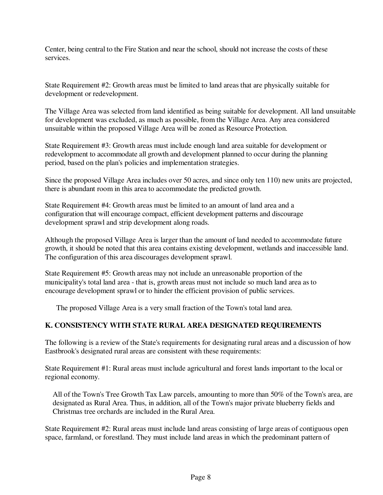Center, being central to the Fire Station and near the school, should not increase the costs of these services.

State Requirement #2: Growth areas must be limited to land areas that are physically suitable for development or redevelopment.

The Village Area was selected from land identified as being suitable for development. All land unsuitable for development was excluded, as much as possible, from the Village Area. Any area considered unsuitable within the proposed Village Area will be zoned as Resource Protection.

State Requirement #3: Growth areas must include enough land area suitable for development or redevelopment to accommodate all growth and development planned to occur during the planning period, based on the plan's policies and implementation strategies.

Since the proposed Village Area includes over 50 acres, and since only ten 110) new units are projected, there is abundant room in this area to accommodate the predicted growth.

State Requirement #4: Growth areas must be limited to an amount of land area and a configuration that will encourage compact, efficient development patterns and discourage development sprawl and strip development along roads.

Although the proposed Village Area is larger than the amount of land needed to accommodate future growth, it should be noted that this area contains existing development, wetlands and inaccessible land. The configuration of this area discourages development sprawl.

State Requirement #5: Growth areas may not include an unreasonable proportion of the municipality's total land area - that is, growth areas must not include so much land area as to encourage development sprawl or to hinder the efficient provision of public services.

The proposed Village Area is a very small fraction of the Town's total land area.

## **K. CONSISTENCY WITH STATE RURAL AREA DESIGNATED REQUIREMENTS**

The following is a review of the State's requirements for designating rural areas and a discussion of how Eastbrook's designated rural areas are consistent with these requirements:

State Requirement #1: Rural areas must include agricultural and forest lands important to the local or regional economy.

All of the Town's Tree Growth Tax Law parcels, amounting to more than 50% of the Town's area, are designated as Rural Area. Thus, in addition, all of the Town's major private blueberry fields and Christmas tree orchards are included in the Rural Area.

State Requirement #2: Rural areas must include land areas consisting of large areas of contiguous open space, farmland, or forestland. They must include land areas in which the predominant pattern of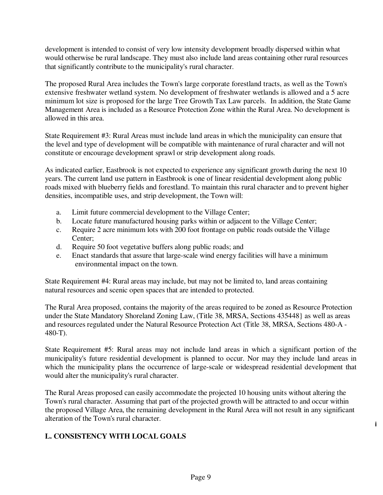development is intended to consist of very low intensity development broadly dispersed within what would otherwise be rural landscape. They must also include land areas containing other rural resources that significantly contribute to the municipality's rural character.

The proposed Rural Area includes the Town's large corporate forestland tracts, as well as the Town's extensive freshwater wetland system. No development of freshwater wetlands is allowed and a 5 acre minimum lot size is proposed for the large Tree Growth Tax Law parcels. In addition, the State Game Management Area is included as a Resource Protection Zone within the Rural Area. No development is allowed in this area.

State Requirement #3: Rural Areas must include land areas in which the municipality can ensure that the level and type of development will be compatible with maintenance of rural character and will not constitute or encourage development sprawl or strip development along roads.

As indicated earlier, Eastbrook is not expected to experience any significant growth during the next 10 years. The current land use pattern in Eastbrook is one of linear residential development along public roads mixed with blueberry fields and forestland. To maintain this rural character and to prevent higher densities, incompatible uses, and strip development, the Town will:

- a. Limit future commercial development to the Village Center;
- b. Locate future manufactured housing parks within or adjacent to the Village Center;
- c. Require 2 acre minimum lots with 200 foot frontage on public roads outside the Village Center;
- d. Require 50 foot vegetative buffers along public roads; and
- e. Enact standards that assure that large-scale wind energy facilities will have a minimum environmental impact on the town.

State Requirement #4: Rural areas may include, but may not be limited to, land areas containing natural resources and scenic open spaces that are intended to protected.

The Rural Area proposed, contains the majority of the areas required to be zoned as Resource Protection under the State Mandatory Shoreland Zoning Law, (Title 38, MRSA, Sections 435448} as well as areas and resources regulated under the Natural Resource Protection Act (Title 38, MRSA, Sections 480-A - 480-T).

State Requirement #5: Rural areas may not include land areas in which a significant portion of the municipality's future residential development is planned to occur. Nor may they include land areas in which the municipality plans the occurrence of large-scale or widespread residential development that would alter the municipality's rural character.

The Rural Areas proposed can easily accommodate the projected 10 housing units without altering the Town's rural character. Assuming that part of the projected growth will be attracted to and occur within the proposed Village Area, the remaining development in the Rural Area will not result in any significant alteration of the Town's rural character.

**i** 

## **L. CONSISTENCY WITH LOCAL GOALS**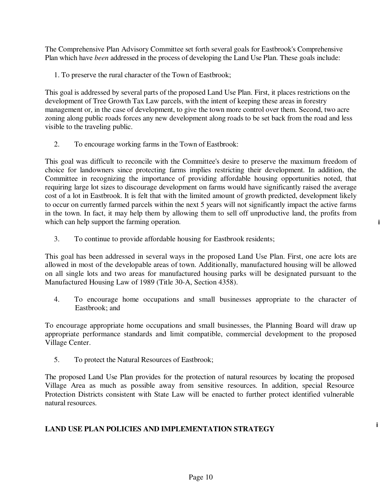The Comprehensive Plan Advisory Committee set forth several goals for Eastbrook's Comprehensive Plan which have *been* addressed in the process of developing the Land Use Plan. These goals include:

1. To preserve the rural character of the Town of Eastbrook;

This goal is addressed by several parts of the proposed Land Use Plan. First, it places restrictions on the development of Tree Growth Tax Law parcels, with the intent of keeping these areas in forestry management or, in the case of development, to give the town more control over them. Second, two acre zoning along public roads forces any new development along roads to be set back from the road and less visible to the traveling public.

2. To encourage working farms in the Town of Eastbrook:

This goal was difficult to reconcile with the Committee's desire to preserve the maximum freedom of choice for landowners since protecting farms implies restricting their development. In addition, the Committee in recognizing the importance of providing affordable housing opportunities noted, that requiring large lot sizes to discourage development on farms would have significantly raised the average cost of a lot in Eastbrook. It is felt that with the limited amount of growth predicted, development likely to occur on currently farmed parcels within the next 5 years will not significantly impact the active farms in the town. In fact, it may help them by allowing them to sell off unproductive land, the profits from which can help support the farming operation.

**i**

**i** 

3. To continue to provide affordable housing for Eastbrook residents;

This goal has been addressed in several ways in the proposed Land Use Plan. First, one acre lots are allowed in most of the developable areas of town. Additionally, manufactured housing will be allowed on all single lots and two areas for manufactured housing parks will be designated pursuant to the Manufactured Housing Law of 1989 (Title 30-A, Section 4358).

4. To encourage home occupations and small businesses appropriate to the character of Eastbrook; and

To encourage appropriate home occupations and small businesses, the Planning Board will draw up appropriate performance standards and limit compatible, commercial development to the proposed Village Center.

5. To protect the Natural Resources of Eastbrook;

The proposed Land Use Plan provides for the protection of natural resources by locating the proposed Village Area as much as possible away from sensitive resources. In addition, special Resource Protection Districts consistent with State Law will be enacted to further protect identified vulnerable natural resources.

## **LAND USE PLAN POLICIES AND IMPLEMENTATION STRATEGY**